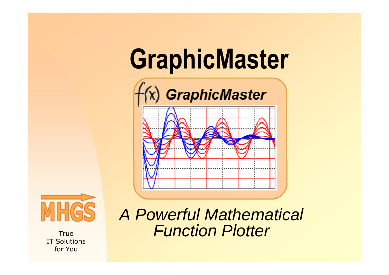## **GraphicMaster**





**True**  IT Solutionsfor You

A Powerful Mathematical Function Plotter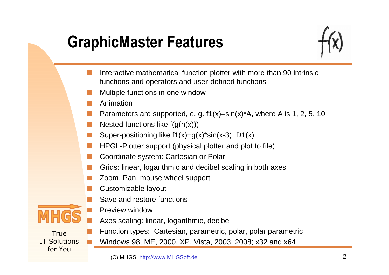### **GraphicMaster Features**



- Interactive mathematical function plotter with more than 90 intrinsic functions and operators and user-defined functions
- Multiple functions in one window
- Animation
- Parameters are supported, e. g.  $f1(x)=sin(x)^*A$ , where A is 1, 2, 5, 10
- Nested functions like  $f(g(h(x)))$
- Super-positioning like  $f1(x)=g(x)$ \*sin(x-3)+D1(x)
- HPGL-Plotter support (physical plotter and plot to file)
- Coordinate system: Cartesian or Polar
- Grids: linear, logarithmic and decibel scaling in both axes
- Zoom, Pan, mouse wheel support
- Customizable layout
- Save and restore functions



- Preview window
- Axes scaling: linear, logarithmic, decibel

- Function types: Cartesian, parametric, polar, polar parametricWindows 98, ME, 2000, XP, Vista, 2003, 2008; x32 and x64
	- (C) MHGS, http://www.MHGSoft.de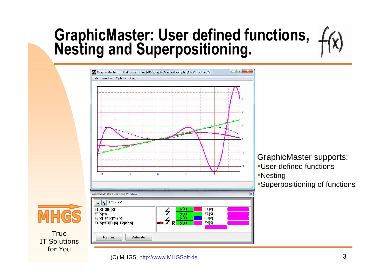# **GraphicMaster: User defined functions, Nesting and Superpositioning.**



GraphicMaster supports: User-defined functions

Nesting

Superpositioning of functions

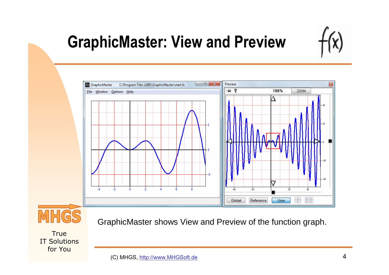

### **GraphicMaster: View and Preview**





GraphicMaster shows View and Preview of the function graph.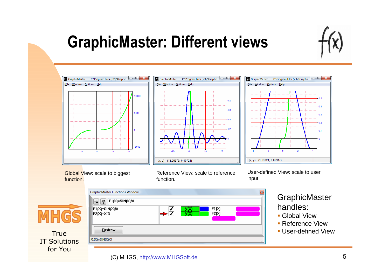

### **GraphicMaster: Different views**







Global View: scale to biggest function.

**CombicMactor Eugetians Winds** 

Reference View: scale to reference function.

User-defined View: scale to user input.



**True**  IT Solutionsfor You

| udhuruwasici i auruonis minuow |                           |                | $\sim$ |
|--------------------------------|---------------------------|----------------|--------|
| ∣⊯∣<br>Į.<br>F1[X]=SIN[X]/X    |                           |                |        |
| F1(X)=SIN(X)/X<br>F2[X]=X^3    | y(x)<br>$\overline{y(x)}$ | F1[X]<br>F2[X] |        |
| Redraw                         |                           |                |        |
| F1(X)=SIN(X)/X                 |                           |                | A      |
|                                |                           |                |        |

### **GraphicMaster** handles:

- Global View
- **Reference View**
- User-defined View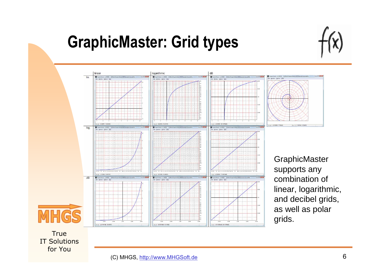### **GraphicMaster: Grid types**





(11 SEASOR 20 SEPA)

**GraphicMaster** supports any combination of linear, logarithmic, and decibel grids, as well as polar grids.

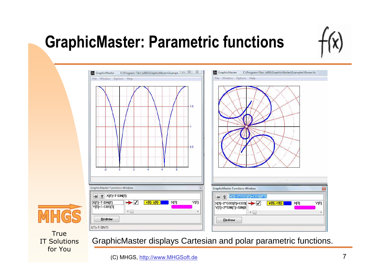### **GraphicMaster: Parametric functions**





**True**  IT Solutionsfor You

GraphicMaster displays Cartesian and polar parametric functions.

(C) MHGS, http://www.MHGSoft.de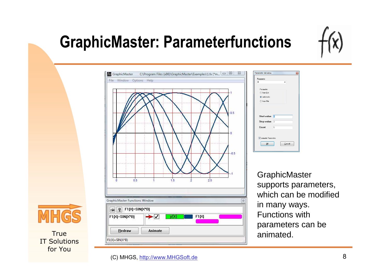### **GraphicMaster: Parameterfunctions**



Cancel **GraphicMaster** 

supports parameters, which can be modified in many ways. Functions with parameters can be animated.

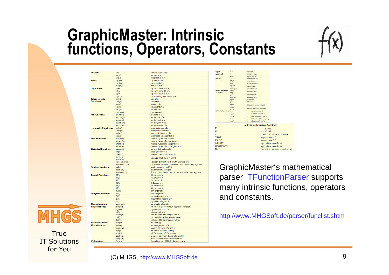## **GraphicMaster: Intrinsic functions, Operators, Constants**

**x** to the nower of



|                              | exp(x)                 |
|------------------------------|------------------------|
| Roots:                       | sqrt(x)                |
|                              | cbrt(x)                |
|                              | root(n;x)              |
| Logarithms:                  | ln(x)                  |
|                              | lg(x)                  |
|                              | lb(x)                  |
|                              | log(b; x)              |
| <b>Trigonometric</b>         | sin(x)                 |
| <b>Functions:</b>            | cos(x)                 |
|                              | tan(x)                 |
|                              | cot(x)                 |
|                              | sec(x)                 |
|                              | cosec(x)               |
| <b>Arc Functions:</b>        | arcsin(x)              |
|                              | arccos(x)              |
|                              | arctan(x)              |
|                              | atan2(y; x)            |
|                              | arccot(x)              |
| <b>Hyperbolic Functions:</b> | sinh(x)                |
|                              | cosh(x)                |
|                              | tanh(x)                |
|                              | coth(x)                |
| <b>Area Functions:</b>       | arsinh(x)              |
|                              | arcosh(x)              |
|                              | artanh(x)              |
|                              | arcoth(x)              |
| <b>Statistical Function:</b> | gauss(x)               |
|                              | erf(x)                 |
|                              | invert(x)              |
|                              | n over k               |
|                              | bino(n;k)              |
|                              | poisson(mu;n)          |
| <b>Random Numbers:</b>       | poicum(mu;n)<br>rnd(x) |
|                              | rand(a;b)              |
|                              | poirand(mu)            |
| <b>Bessel Functions:</b>     | J0(x)                  |
|                              | J1(x)                  |
|                              | J2(x)                  |
|                              | J3(x)                  |
|                              | J4(x)                  |
|                              | J5(x)                  |
|                              | J(n;x)                 |
| <b>Integral Functions:</b>   | Si(x)                  |
|                              | Ci(x)                  |
|                              | Ei(x)                  |
|                              | li(x)                  |
| <b>Gammafunction:</b>        | gamma(x)               |
| <b>Stepfunctions:</b>        | theta(x)               |
|                              | sgn(x)                 |
|                              | int(x)                 |
|                              | round(x)               |
|                              | ceil(x)                |
|                              | floor(x)               |
| <b>Absolute Values:</b>      | abs(x)                 |
| <b>Miscellaneous:</b>        | frac(x)                |
|                              | max(x,y)               |
|                              |                        |
|                              | min(x, y)              |
|                              | odd(n)<br>gcd(n;m)     |

 $lcm(n;m)$ 

 $if(c; x; y)$ 

**IF-Function** 

Powers:

 $s$ gr(x)

**True**  IT Solutionsfor You

square of x exponential of x squareroot of x cubic root of x n.th root of x log with base e of x log. with base 10 of x log. with base 2 of x common log. with base b of x sine of x cosine of x tangent of x cotangent of x secans of x cosecans of x arc sine of x arc cosine of x arc tangent of x arc tangent of y/x arc cotangent of x hyperbolic sine of x hyperbolic cosine of x hyperbolic tangent of x hyperbolic cotangent of x inverse hyperbolic sine of x inverse hyperboloc cosine of x inverse hyperbolic tangent of x inverse hyperbolic cotangent of x normal distribution of x error function of x inverse of error function of x binomial coefficient n over k Poisson distribution of n with average mu cumulated Poisson distribution up to n with average mu random number in [0,x] random number in [a.b] Poisson distributed random numbers with average mu Oth order of x 1st order of x 2nd order of x 3rd order of v 4th order of x 5th order of x n-th order of x sine integral of x cosine integral of x exponential integral of x logarithm integral of x gamma function of x  $= 1$  if  $x > 0$ . else  $= 0$  (AKA Heaviside function) signum function of x integer part of x x rounded to next integer value x rounded to higher integer value x rounded to lower integer value absolute |x| non-integer part of x maximum value of x and y minimum value of x and y  $= 1$  if n is odd  $= 0$  if n is even greatest common divisor of n and m least common multiple of n and m if condition c=1 (TRUE) then x, else y

| Auging.                                  | $x + y$              | aggs x and y                                  |                                 |  |  |
|------------------------------------------|----------------------|-----------------------------------------------|---------------------------------|--|--|
| Subtracting:                             | $X - Y$              | subtracts y from x                            |                                 |  |  |
| Multiplying:                             | $x * y$              | multiplies x and y                            |                                 |  |  |
| Dividina:                                | fac(n)<br>x/y        | factorial of n. n!<br>divides x through y     |                                 |  |  |
|                                          | n div m              |                                               |                                 |  |  |
|                                          | n/m                  | integer division                              |                                 |  |  |
|                                          | rez(x)               | reciprocal value of x                         |                                 |  |  |
|                                          | n mod m<br>$n \% m$  | integer modulo                                |                                 |  |  |
|                                          | modulo(x,y)          | rest of division x/v                          |                                 |  |  |
| <b>Bitwise and Logical</b><br>Operators: | a and b<br>$a$ & b   | bitwise logic AND                             |                                 |  |  |
|                                          | aorh<br>alb          | bitwise logic OR                              |                                 |  |  |
|                                          | $(a)$ xor $(b)$      | bitwise logic XOR                             |                                 |  |  |
|                                          | bnot(a)              | hitwise NOT                                   |                                 |  |  |
|                                          | not(a)<br>lэ         | logical NOT                                   |                                 |  |  |
|                                          | a shi b<br>$a \gg b$ | shifts a b bitpositions to the left           |                                 |  |  |
|                                          | a shr b<br>$a \gg b$ | shifts a b bitpositions to the right          |                                 |  |  |
| <b>Relational Operators:</b> $x = y$     |                      | =1 if x is equal to y. else =0                |                                 |  |  |
|                                          | x < y<br>$x = y$     | $=1$ if x is not equal to y, else $=0$        |                                 |  |  |
|                                          | $x \leq \equiv y$    | $=1$ if x is less or equal to y, else $=0$    |                                 |  |  |
|                                          | x < y                |                                               | =1 if x is less than y, else =0 |  |  |
|                                          | $x > \equiv y$       | $=1$ if x is greater or equal to y, else $=0$ |                                 |  |  |
|                                          | x > y                | =1 if x is greater than y, else =0            |                                 |  |  |
|                                          |                      | <b>Intrinsic mathematical Constants</b>       |                                 |  |  |
| PI                                       |                      | 3.1415                                        |                                 |  |  |
| F                                        |                      |                                               | $P = 27182$                     |  |  |
| Ċ                                        |                      |                                               | 0.577215  Euler's constant      |  |  |
| <b>TRUE</b>                              |                      | logical value 1.0                             |                                 |  |  |
| <b>FALSE</b>                             |                      |                                               | logical value 0.0               |  |  |
| <b>INFINITY</b>                          |                      |                                               | symbolical value for ∞          |  |  |
| <b>NEGINEINITY</b>                       |                      | symbolical value for - <sup>∞</sup>           |                                 |  |  |
| <b>NaN</b>                               |                      | Not a Number (aborts evaluation)              |                                 |  |  |

GraphicMaster's mathematical parser TFunctionParser supports many intrinsic functions, operators and constants.

http://www.MHGSoft.de/parser/funclist.shtm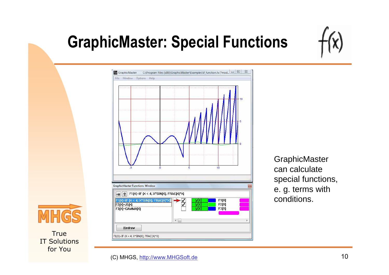

### **GraphicMaster: Special Functions**



**GraphicMaster** can calculate special functions, e. g. terms with conditions.